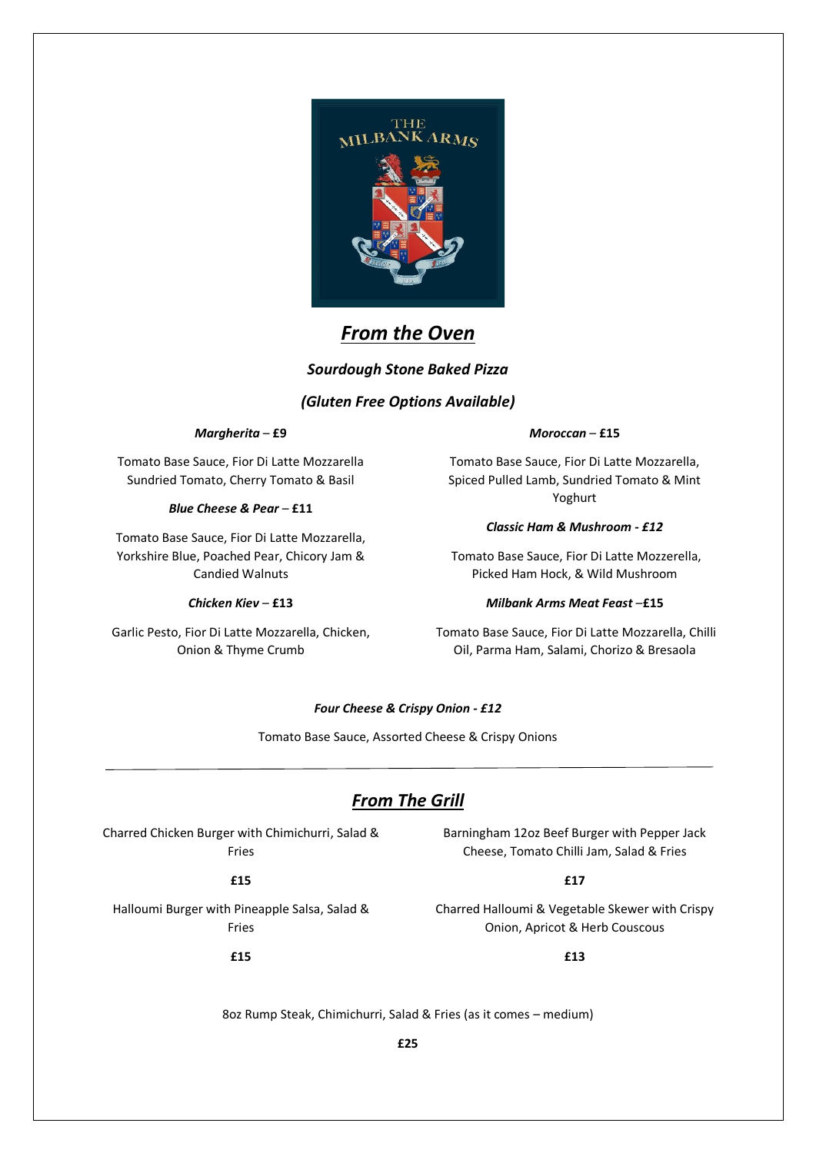

# *From the Oven*

### *Sourdough Stone Baked Pizza*

### *(Gluten Free Options Available)*

#### *Margherita* – **£9**

Tomato Base Sauce, Fior Di Latte Mozzarella Sundried Tomato, Cherry Tomato & Basil

#### *Blue Cheese & Pear* – **£11**

Tomato Base Sauce, Fior Di Latte Mozzarella, Yorkshire Blue, Poached Pear, Chicory Jam & Candied Walnuts

#### *Chicken Kiev* – **£13**

Garlic Pesto, Fior Di Latte Mozzarella, Chicken, Onion & Thyme Crumb

#### *Moroccan* – **£15**

Tomato Base Sauce, Fior Di Latte Mozzarella, Spiced Pulled Lamb, Sundried Tomato & Mint Yoghurt

#### *Classic Ham & Mushroom - £12*

Tomato Base Sauce, Fior Di Latte Mozzerella, Picked Ham Hock, & Wild Mushroom

#### *Milbank Arms Meat Feast* –**£15**

Tomato Base Sauce, Fior Di Latte Mozzarella, Chilli Oil, Parma Ham, Salami, Chorizo & Bresaola

### *Four Cheese & Crispy Onion - £12*

Tomato Base Sauce, Assorted Cheese & Crispy Onions

### *From The Grill*

Charred Chicken Burger with Chimichurri, Salad & Fries

**£15**

**£15**

Halloumi Burger with Pineapple Salsa, Salad & Fries

Barningham 12oz Beef Burger with Pepper Jack Cheese, Tomato Chilli Jam, Salad & Fries

#### **£17**

Charred Halloumi & Vegetable Skewer with Crispy Onion, Apricot & Herb Couscous

**£13**

8oz Rump Steak, Chimichurri, Salad & Fries (as it comes – medium)